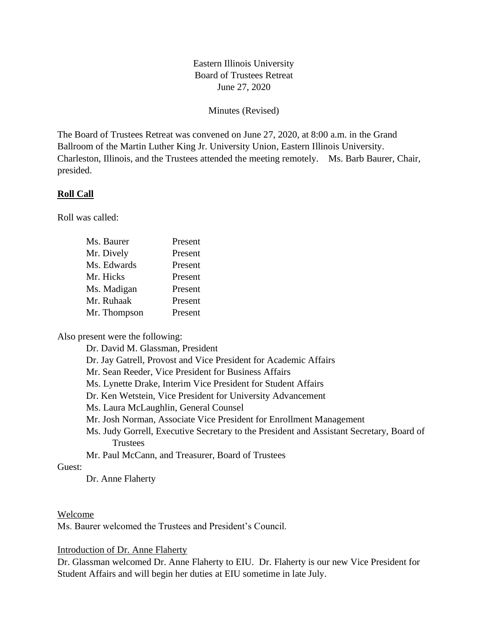# Eastern Illinois University Board of Trustees Retreat June 27, 2020

Minutes (Revised)

The Board of Trustees Retreat was convened on June 27, 2020, at 8:00 a.m. in the Grand Ballroom of the Martin Luther King Jr. University Union, Eastern Illinois University. Charleston, Illinois, and the Trustees attended the meeting remotely. Ms. Barb Baurer, Chair, presided.

### **Roll Call**

Roll was called:

| Ms. Baurer   | Present |
|--------------|---------|
| Mr. Dively   | Present |
| Ms. Edwards  | Present |
| Mr. Hicks    | Present |
| Ms. Madigan  | Present |
| Mr. Ruhaak   | Present |
| Mr. Thompson | Present |

Also present were the following:

Dr. David M. Glassman, President

Dr. Jay Gatrell, Provost and Vice President for Academic Affairs

Mr. Sean Reeder, Vice President for Business Affairs

Ms. Lynette Drake, Interim Vice President for Student Affairs

Dr. Ken Wetstein, Vice President for University Advancement

Ms. Laura McLaughlin, General Counsel

Mr. Josh Norman, Associate Vice President for Enrollment Management

Ms. Judy Gorrell, Executive Secretary to the President and Assistant Secretary, Board of Trustees

Mr. Paul McCann, and Treasurer, Board of Trustees

### Guest:

Dr. Anne Flaherty

#### Welcome

Ms. Baurer welcomed the Trustees and President's Council.

#### Introduction of Dr. Anne Flaherty

Dr. Glassman welcomed Dr. Anne Flaherty to EIU. Dr. Flaherty is our new Vice President for Student Affairs and will begin her duties at EIU sometime in late July.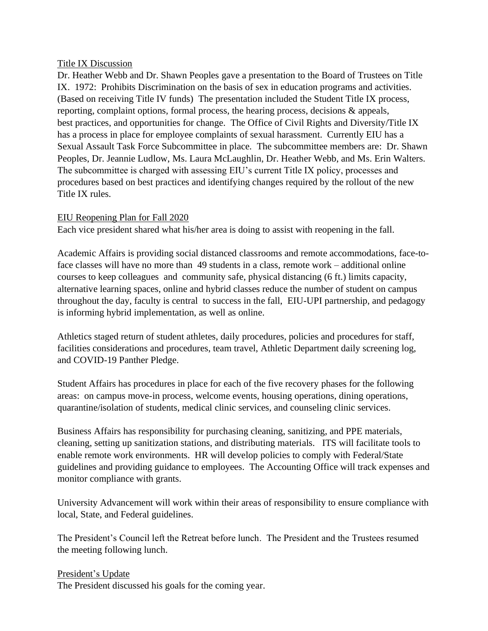### Title IX Discussion

Dr. Heather Webb and Dr. Shawn Peoples gave a presentation to the Board of Trustees on Title IX. 1972: Prohibits Discrimination on the basis of sex in education programs and activities. (Based on receiving Title IV funds) The presentation included the Student Title IX process, reporting, complaint options, formal process, the hearing process, decisions & appeals, best practices, and opportunities for change. The Office of Civil Rights and Diversity/Title IX has a process in place for employee complaints of sexual harassment. Currently EIU has a Sexual Assault Task Force Subcommittee in place. The subcommittee members are: Dr. Shawn Peoples, Dr. Jeannie Ludlow, Ms. Laura McLaughlin, Dr. Heather Webb, and Ms. Erin Walters. The subcommittee is charged with assessing EIU's current Title IX policy, processes and procedures based on best practices and identifying changes required by the rollout of the new Title IX rules.

# EIU Reopening Plan for Fall 2020

Each vice president shared what his/her area is doing to assist with reopening in the fall.

Academic Affairs is providing social distanced classrooms and remote accommodations, face-toface classes will have no more than 49 students in a class, remote work – additional online courses to keep colleagues and community safe, physical distancing (6 ft.) limits capacity, alternative learning spaces, online and hybrid classes reduce the number of student on campus throughout the day, faculty is central to success in the fall, EIU-UPI partnership, and pedagogy is informing hybrid implementation, as well as online.

Athletics staged return of student athletes, daily procedures, policies and procedures for staff, facilities considerations and procedures, team travel, Athletic Department daily screening log, and COVID-19 Panther Pledge.

Student Affairs has procedures in place for each of the five recovery phases for the following areas: on campus move-in process, welcome events, housing operations, dining operations, quarantine/isolation of students, medical clinic services, and counseling clinic services.

Business Affairs has responsibility for purchasing cleaning, sanitizing, and PPE materials, cleaning, setting up sanitization stations, and distributing materials. ITS will facilitate tools to enable remote work environments. HR will develop policies to comply with Federal/State guidelines and providing guidance to employees. The Accounting Office will track expenses and monitor compliance with grants.

University Advancement will work within their areas of responsibility to ensure compliance with local, State, and Federal guidelines.

The President's Council left the Retreat before lunch. The President and the Trustees resumed the meeting following lunch.

President's Update The President discussed his goals for the coming year.